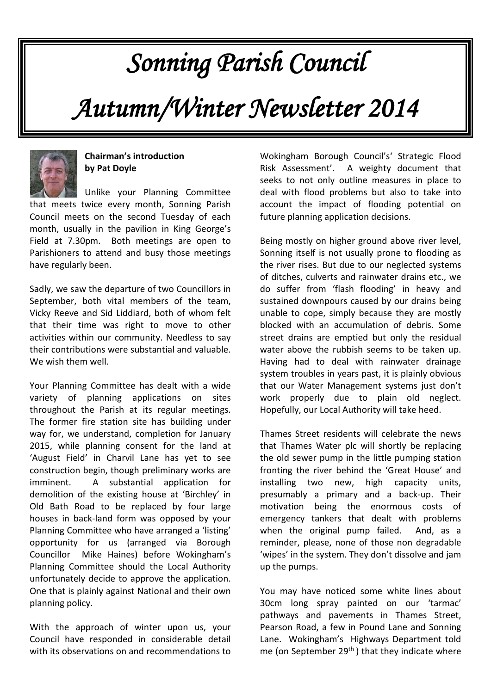# *Sonning Parish Council*

*Autumn/Winter Newsletter 2014*



# **Chairman's introduction by Pat Doyle**

Unlike your Planning Committee that meets twice every month, Sonning Parish Council meets on the second Tuesday of each month, usually in the pavilion in King George's Field at 7.30pm. Both meetings are open to Parishioners to attend and busy those meetings have regularly been.

Sadly, we saw the departure of two Councillors in September, both vital members of the team, Vicky Reeve and Sid Liddiard, both of whom felt that their time was right to move to other activities within our community. Needless to say their contributions were substantial and valuable. We wish them well.

Your Planning Committee has dealt with a wide variety of planning applications on sites throughout the Parish at its regular meetings. The former fire station site has building under way for, we understand, completion for January 2015, while planning consent for the land at 'August Field' in Charvil Lane has yet to see construction begin, though preliminary works are imminent. A substantial application for demolition of the existing house at 'Birchley' in Old Bath Road to be replaced by four large houses in back-land form was opposed by your Planning Committee who have arranged a 'listing' opportunity for us (arranged via Borough Councillor Mike Haines) before Wokingham's Planning Committee should the Local Authority unfortunately decide to approve the application. One that is plainly against National and their own planning policy.

With the approach of winter upon us, your Council have responded in considerable detail with its observations on and recommendations to

Wokingham Borough Council's' Strategic Flood Risk Assessment'. A weighty document that seeks to not only outline measures in place to deal with flood problems but also to take into account the impact of flooding potential on future planning application decisions.

Being mostly on higher ground above river level, Sonning itself is not usually prone to flooding as the river rises. But due to our neglected systems of ditches, culverts and rainwater drains etc., we do suffer from 'flash flooding' in heavy and sustained downpours caused by our drains being unable to cope, simply because they are mostly blocked with an accumulation of debris. Some street drains are emptied but only the residual water above the rubbish seems to be taken up. Having had to deal with rainwater drainage system troubles in years past, it is plainly obvious that our Water Management systems just don't work properly due to plain old neglect. Hopefully, our Local Authority will take heed.

Thames Street residents will celebrate the news that Thames Water plc will shortly be replacing the old sewer pump in the little pumping station fronting the river behind the 'Great House' and installing two new, high capacity units, presumably a primary and a back-up. Their motivation being the enormous costs of emergency tankers that dealt with problems when the original pump failed. And, as a reminder, please, none of those non degradable 'wipes' in the system. They don't dissolve and jam up the pumps.

You may have noticed some white lines about 30cm long spray painted on our 'tarmac' pathways and pavements in Thames Street, Pearson Road, a few in Pound Lane and Sonning Lane. Wokingham's Highways Department told me (on September  $29<sup>th</sup>$ ) that they indicate where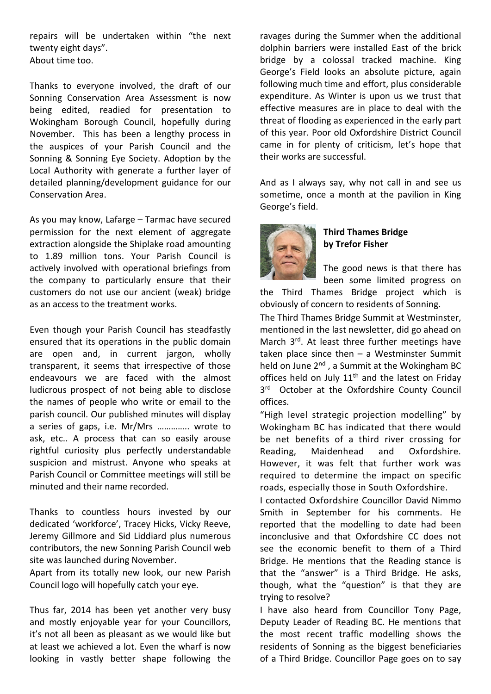repairs will be undertaken within "the next twenty eight days". About time too.

Thanks to everyone involved, the draft of our Sonning Conservation Area Assessment is now being edited, readied for presentation to Wokingham Borough Council, hopefully during November. This has been a lengthy process in the auspices of your Parish Council and the Sonning & Sonning Eye Society. Adoption by the Local Authority with generate a further layer of detailed planning/development guidance for our Conservation Area.

As you may know, Lafarge – Tarmac have secured permission for the next element of aggregate extraction alongside the Shiplake road amounting to 1.89 million tons. Your Parish Council is actively involved with operational briefings from the company to particularly ensure that their customers do not use our ancient (weak) bridge as an access to the treatment works.

Even though your Parish Council has steadfastly ensured that its operations in the public domain are open and, in current jargon, wholly transparent, it seems that irrespective of those endeavours we are faced with the almost ludicrous prospect of not being able to disclose the names of people who write or email to the parish council. Our published minutes will display a series of gaps, i.e. Mr/Mrs ………….. wrote to ask, etc.. A process that can so easily arouse rightful curiosity plus perfectly understandable suspicion and mistrust. Anyone who speaks at Parish Council or Committee meetings will still be minuted and their name recorded.

Thanks to countless hours invested by our dedicated 'workforce', Tracey Hicks, Vicky Reeve, Jeremy Gillmore and Sid Liddiard plus numerous contributors, the new Sonning Parish Council web site was launched during November.

Apart from its totally new look, our new Parish Council logo will hopefully catch your eye.

Thus far, 2014 has been yet another very busy and mostly enjoyable year for your Councillors, it's not all been as pleasant as we would like but at least we achieved a lot. Even the wharf is now looking in vastly better shape following the

ravages during the Summer when the additional dolphin barriers were installed East of the brick bridge by a colossal tracked machine. King George's Field looks an absolute picture, again following much time and effort, plus considerable expenditure. As Winter is upon us we trust that effective measures are in place to deal with the threat of flooding as experienced in the early part of this year. Poor old Oxfordshire District Council came in for plenty of criticism, let's hope that their works are successful.

And as I always say, why not call in and see us sometime, once a month at the pavilion in King George's field.



# **Third Thames Bridge by Trefor Fisher**

The good news is that there has been some limited progress on

the Third Thames Bridge project which is obviously of concern to residents of Sonning.

The Third Thames Bridge Summit at Westminster, mentioned in the last newsletter, did go ahead on March 3<sup>rd</sup>. At least three further meetings have taken place since then  $-$  a Westminster Summit held on June 2<sup>nd</sup>, a Summit at the Wokingham BC offices held on July  $11<sup>th</sup>$  and the latest on Friday 3<sup>rd</sup> October at the Oxfordshire County Council offices.

"High level strategic projection modelling" by Wokingham BC has indicated that there would be net benefits of a third river crossing for Reading, Maidenhead and Oxfordshire. However, it was felt that further work was required to determine the impact on specific roads, especially those in South Oxfordshire.

I contacted Oxfordshire Councillor David Nimmo Smith in September for his comments. He reported that the modelling to date had been inconclusive and that Oxfordshire CC does not see the economic benefit to them of a Third Bridge. He mentions that the Reading stance is that the "answer" is a Third Bridge. He asks, though, what the "question" is that they are trying to resolve?

I have also heard from Councillor Tony Page, Deputy Leader of Reading BC. He mentions that the most recent traffic modelling shows the residents of Sonning as the biggest beneficiaries of a Third Bridge. Councillor Page goes on to say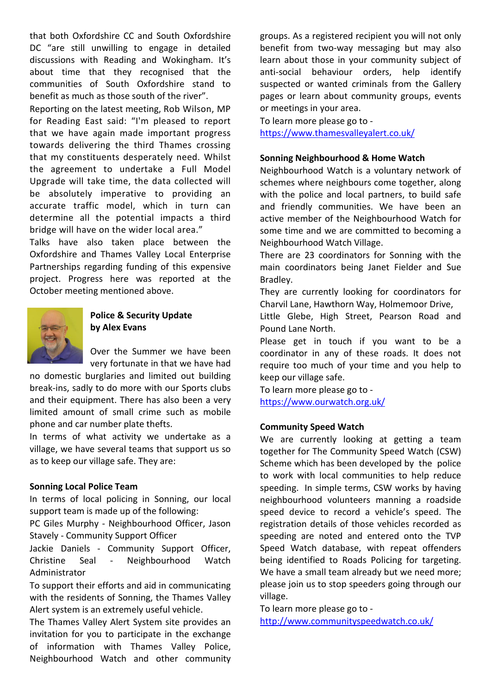that both Oxfordshire CC and South Oxfordshire DC "are still unwilling to engage in detailed discussions with Reading and Wokingham. It's about time that they recognised that the communities of South Oxfordshire stand to benefit as much as those south of the river".

Reporting on the latest meeting, Rob Wilson, MP for Reading East said: "I'm pleased to report that we have again made important progress towards delivering the third Thames crossing that my constituents desperately need. Whilst the agreement to undertake a Full Model Upgrade will take time, the data collected will be absolutely imperative to providing an accurate traffic model, which in turn can determine all the potential impacts a third bridge will have on the wider local area."

Talks have also taken place between the Oxfordshire and Thames Valley Local Enterprise Partnerships regarding funding of this expensive project. Progress here was reported at the October meeting mentioned above.



# **Police & Security Update by Alex Evans**

Over the Summer we have been very fortunate in that we have had

no domestic burglaries and limited out building break-ins, sadly to do more with our Sports clubs and their equipment. There has also been a very limited amount of small crime such as mobile phone and car number plate thefts.

In terms of what activity we undertake as a village, we have several teams that support us so as to keep our village safe. They are:

## **Sonning Local Police Team**

In terms of local policing in Sonning, our local support team is made up of the following:

PC Giles Murphy - Neighbourhood Officer, Jason Stavely - Community Support Officer

Jackie Daniels - Community Support Officer, Christine Seal - Neighbourhood Watch Administrator

To support their efforts and aid in communicating with the residents of Sonning, the Thames Valley Alert system is an extremely useful vehicle.

The Thames Valley Alert System site provides an invitation for you to participate in the exchange of information with Thames Valley Police, Neighbourhood Watch and other community groups. As a registered recipient you will not only benefit from two-way messaging but may also learn about those in your community subject of anti-social behaviour orders, help identify suspected or wanted criminals from the Gallery pages or learn about community groups, events or meetings in your area.

To learn more please go to <https://www.thamesvalleyalert.co.uk/>

#### **Sonning Neighbourhood & Home Watch**

Neighbourhood Watch is a voluntary network of schemes where neighbours come together, along with the police and local partners, to build safe and friendly communities. We have been an active member of the Neighbourhood Watch for some time and we are committed to becoming a Neighbourhood Watch Village.

There are 23 coordinators for Sonning with the main coordinators being Janet Fielder and Sue Bradley.

They are currently looking for coordinators for Charvil Lane, Hawthorn Way, Holmemoor Drive,

Little Glebe, High Street, Pearson Road and Pound Lane North.

Please get in touch if you want to be a coordinator in any of these roads. It does not require too much of your time and you help to keep our village safe.

To learn more please go to <https://www.ourwatch.org.uk/>

## **Community Speed Watch**

We are currently looking at getting a team together for The Community Speed Watch (CSW) Scheme which has been developed by the police to work with local communities to help reduce speeding. In simple terms, CSW works by having neighbourhood volunteers manning a roadside speed device to record a vehicle's speed. The registration details of those vehicles recorded as speeding are noted and entered onto the TVP Speed Watch database, with repeat offenders being identified to Roads Policing for targeting. We have a small team already but we need more; please join us to stop speeders going through our village.

To learn more please go to <http://www.communityspeedwatch.co.uk/>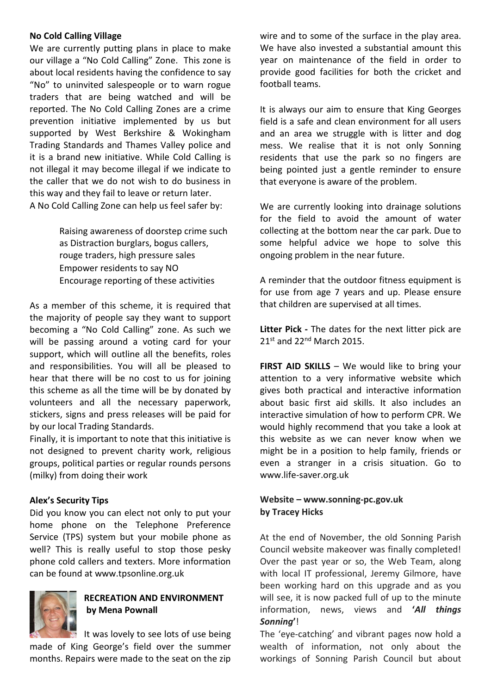## **No Cold Calling Village**

We are currently putting plans in place to make our village a "No Cold Calling" Zone. This zone is about local residents having the confidence to say "No" to uninvited salespeople or to warn rogue traders that are being watched and will be reported. The No Cold Calling Zones are a crime prevention initiative implemented by us but supported by West Berkshire & Wokingham Trading Standards and Thames Valley police and it is a brand new initiative. While Cold Calling is not illegal it may become illegal if we indicate to the caller that we do not wish to do business in this way and they fail to leave or return later. A No Cold Calling Zone can help us feel safer by:

> Raising awareness of doorstep crime such as Distraction burglars, bogus callers, rouge traders, high pressure sales Empower residents to say NO Encourage reporting of these activities

As a member of this scheme, it is required that the majority of people say they want to support becoming a "No Cold Calling" zone. As such we will be passing around a voting card for your support, which will outline all the benefits, roles and responsibilities. You will all be pleased to hear that there will be no cost to us for joining this scheme as all the time will be by donated by volunteers and all the necessary paperwork, stickers, signs and press releases will be paid for by our local Trading Standards.

Finally, it is important to note that this initiative is not designed to prevent charity work, religious groups, political parties or regular rounds persons (milky) from doing their work

# **Alex's Security Tips**

Did you know you can elect not only to put your home phone on the Telephone Preference Service (TPS) system but your mobile phone as well? This is really useful to stop those pesky phone cold callers and texters. More information can be found at www.tpsonline.org.uk



# **RECREATION AND ENVIRONMENT by Mena Pownall**

It was lovely to see lots of use being made of King George's field over the summer months. Repairs were made to the seat on the zip wire and to some of the surface in the play area. We have also invested a substantial amount this year on maintenance of the field in order to provide good facilities for both the cricket and football teams.

It is always our aim to ensure that King Georges field is a safe and clean environment for all users and an area we struggle with is litter and dog mess. We realise that it is not only Sonning residents that use the park so no fingers are being pointed just a gentle reminder to ensure that everyone is aware of the problem.

We are currently looking into drainage solutions for the field to avoid the amount of water collecting at the bottom near the car park. Due to some helpful advice we hope to solve this ongoing problem in the near future.

A reminder that the outdoor fitness equipment is for use from age 7 years and up. Please ensure that children are supervised at all times.

**Litter Pick -** The dates for the next litter pick are  $21<sup>st</sup>$  and  $22<sup>nd</sup>$  March 2015.

**FIRST AID SKILLS** – We would like to bring your attention to a very informative website which gives both practical and interactive information about basic first aid skills. It also includes an interactive simulation of how to perform CPR. We would highly recommend that you take a look at this website as we can never know when we might be in a position to help family, friends or even a stranger in a crisis situation. Go to www.life-saver.org.uk

# **Website – www.sonning-pc.gov.uk by Tracey Hicks**

At the end of November, the old Sonning Parish Council website makeover was finally completed! Over the past year or so, the Web Team, along with local IT professional, Jeremy Gilmore, have been working hard on this upgrade and as you will see, it is now packed full of up to the minute information, news, views and **'***All things Sonning***'**!

The 'eye-catching' and vibrant pages now hold a wealth of information, not only about the workings of Sonning Parish Council but about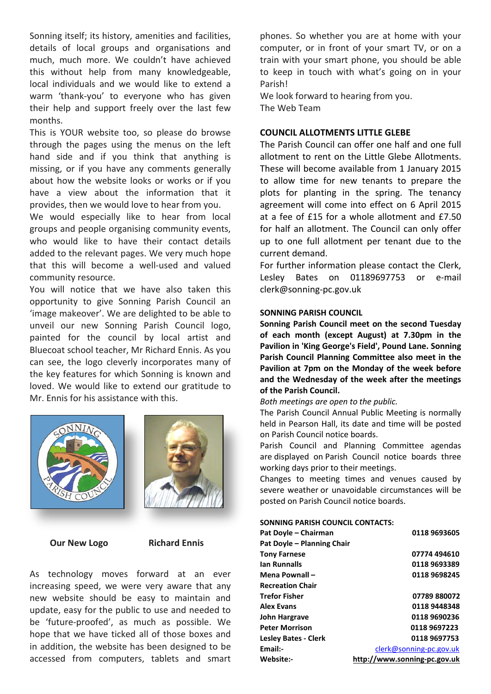Sonning itself; its history, amenities and facilities, details of local groups and organisations and much, much more. We couldn't have achieved this without help from many knowledgeable, local individuals and we would like to extend a warm 'thank-you' to everyone who has given their help and support freely over the last few months.

This is YOUR website too, so please do browse through the pages using the menus on the left hand side and if you think that anything is missing, or if you have any comments generally about how the website looks or works or if you have a view about the information that it provides, then we would love to hear from you.

We would especially like to hear from local groups and people organising community events, who would like to have their contact details added to the relevant pages. We very much hope that this will become a well-used and valued community resource.

You will notice that we have also taken this opportunity to give Sonning Parish Council an 'image makeover'. We are delighted to be able to unveil our new Sonning Parish Council logo, painted for the council by local artist and Bluecoat school teacher, Mr Richard Ennis. As you can see, the logo cleverly incorporates many of the key features for which Sonning is known and loved. We would like to extend our gratitude to Mr. Ennis for his assistance with this.



**Our New Logo Richard Ennis** 



As technology moves forward at an ever increasing speed, we were very aware that any new website should be easy to maintain and update, easy for the public to use and needed to be 'future-proofed', as much as possible. We hope that we have ticked all of those boxes and in addition, the website has been designed to be accessed from computers, tablets and smart

phones. So whether you are at home with your computer, or in front of your smart TV, or on a train with your smart phone, you should be able to keep in touch with what's going on in your Parish!

We look forward to hearing from you. The Web Team

## **COUNCIL ALLOTMENTS LITTLE GLEBE**

The Parish Council can offer one half and one full allotment to rent on the Little Glebe Allotments. These will become available from 1 January 2015 to allow time for new tenants to prepare the plots for planting in the spring. The tenancy agreement will come into effect on 6 April 2015 at a fee of £15 for a whole allotment and £7.50 for half an allotment. The Council can only offer up to one full allotment per tenant due to the current demand.

For further information please contact the Clerk, Lesley Bates on 01189697753 or e-mail clerk@sonning-pc.gov.uk

#### **SONNING PARISH COUNCIL**

**Sonning Parish Council meet on the second Tuesday of each month (except August) at 7.30pm in the Pavilion in 'King George's Field', Pound Lane. Sonning Parish Council Planning Committee also meet in the Pavilion at 7pm on the Monday of the week before and the Wednesday of the week after the meetings of the Parish Council.**

#### *Both meetings are open to the public.*

The Parish Council Annual Public Meeting is normally held in Pearson Hall, its date and time will be posted on Parish Council notice boards.

Parish Council and Planning Committee agendas are displayed on Parish Council notice boards three working days prior to their meetings.

Changes to meeting times and venues caused by severe weather or unavoidable circumstances will be posted on Parish Council notice boards.

#### **SONNING PARISH COUNCIL CONTACTS:**

| Pat Doyle - Chairman        | 0118 9693605                 |
|-----------------------------|------------------------------|
| Pat Doyle - Planning Chair  |                              |
| <b>Tony Farnese</b>         | 07774 494610                 |
| lan Runnalls                | 0118 9693389                 |
| Mena Pownall -              | 0118 9698245                 |
| <b>Recreation Chair</b>     |                              |
| Trefor Fisher               | 07789 880072                 |
| <b>Alex Evans</b>           | 0118 9448348                 |
| John Hargrave               | 0118 9690236                 |
| <b>Peter Morrison</b>       | 0118 9697223                 |
| <b>Lesley Bates - Clerk</b> | 0118 9697753                 |
| Email:-                     | clerk@sonning-pc.gov.uk      |
| Website:-                   | http://www.sonning-pc.gov.uk |